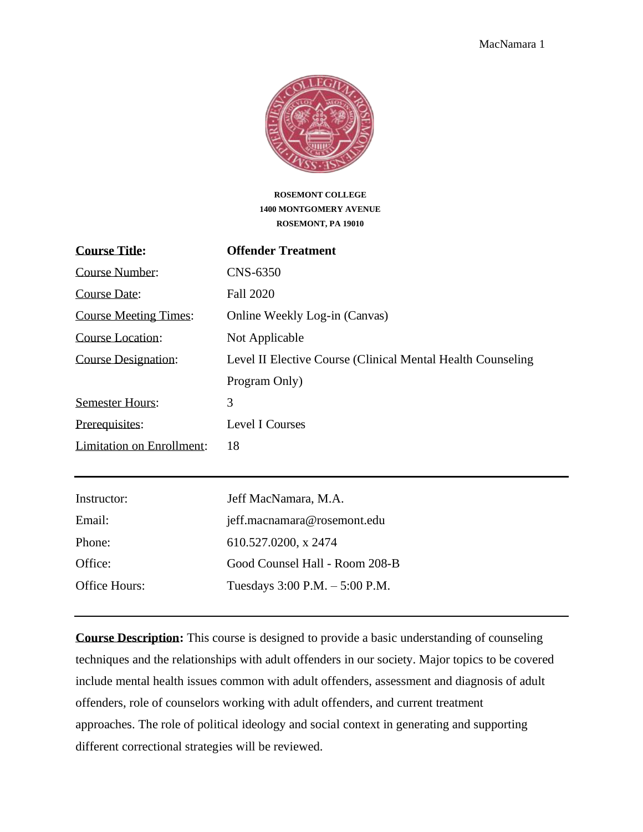

#### **ROSEMONT COLLEGE 1400 MONTGOMERY AVENUE ROSEMONT, PA 19010**

| <b>Course Title:</b>             | <b>Offender Treatment</b>                                    |
|----------------------------------|--------------------------------------------------------------|
| Course Number:                   | CNS-6350                                                     |
| Course Date:                     | <b>Fall 2020</b>                                             |
| <b>Course Meeting Times:</b>     | Online Weekly Log-in (Canvas)                                |
| Course Location:                 | Not Applicable                                               |
| <b>Course Designation:</b>       | Level II Elective Course (Clinical Mental Health Counseling) |
|                                  | Program Only)                                                |
| <b>Semester Hours:</b>           | 3                                                            |
| Prerequisites:                   | <b>Level I Courses</b>                                       |
| <b>Limitation on Enrollment:</b> | 18                                                           |
|                                  |                                                              |
| Instructor:                      | Jeff MacNamara, M.A.                                         |
| Email:                           | jeff.macnamara@rosemont.edu                                  |
| Phone:                           | 610.527.0200, x 2474                                         |
| Office:                          | Good Counsel Hall - Room 208-B                               |

Office Hours: Tuesdays 3:00 P.M. – 5:00 P.M. **Course Description:** This course is designed to provide a basic understanding of counseling techniques and the relationships with adult offenders in our society. Major topics to be covered include mental health issues common with adult offenders, assessment and diagnosis of adult

offenders, role of counselors working with adult offenders, and current treatment approaches. The role of political ideology and social context in generating and supporting different correctional strategies will be reviewed.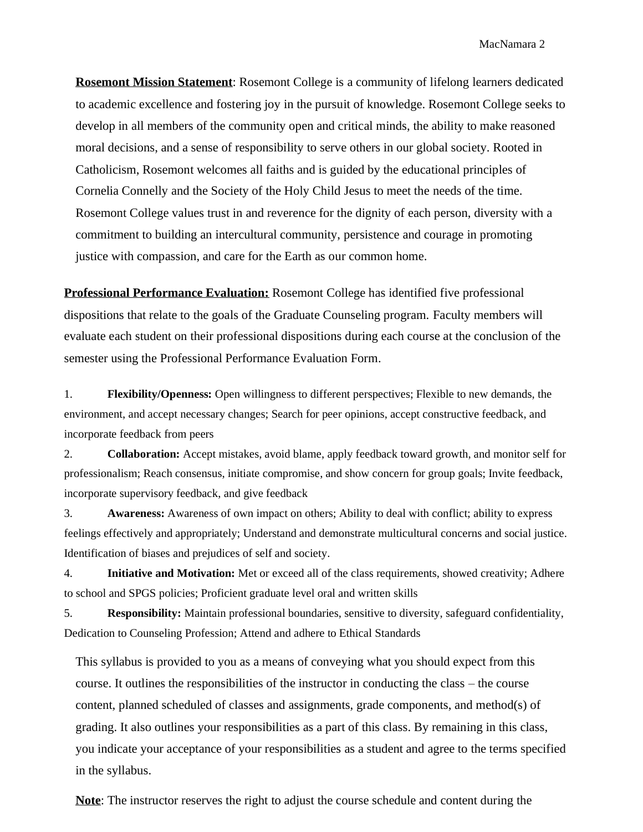**Rosemont Mission Statement**: Rosemont College is a community of lifelong learners dedicated to academic excellence and fostering joy in the pursuit of knowledge. Rosemont College seeks to develop in all members of the community open and critical minds, the ability to make reasoned moral decisions, and a sense of responsibility to serve others in our global society. Rooted in Catholicism, Rosemont welcomes all faiths and is guided by the educational principles of Cornelia Connelly and the Society of the Holy Child Jesus to meet the needs of the time. Rosemont College values trust in and reverence for the dignity of each person, diversity with a commitment to building an intercultural community, persistence and courage in promoting justice with compassion, and care for the Earth as our common home.

**Professional Performance Evaluation:** Rosemont College has identified five professional dispositions that relate to the goals of the Graduate Counseling program. Faculty members will evaluate each student on their professional dispositions during each course at the conclusion of the semester using the Professional Performance Evaluation Form.

1. **Flexibility/Openness:** Open willingness to different perspectives; Flexible to new demands, the environment, and accept necessary changes; Search for peer opinions, accept constructive feedback, and incorporate feedback from peers

2. **Collaboration:** Accept mistakes, avoid blame, apply feedback toward growth, and monitor self for professionalism; Reach consensus, initiate compromise, and show concern for group goals; Invite feedback, incorporate supervisory feedback, and give feedback

3. **Awareness:** Awareness of own impact on others; Ability to deal with conflict; ability to express feelings effectively and appropriately; Understand and demonstrate multicultural concerns and social justice. Identification of biases and prejudices of self and society.

4. **Initiative and Motivation:** Met or exceed all of the class requirements, showed creativity; Adhere to school and SPGS policies; Proficient graduate level oral and written skills

5. **Responsibility:** Maintain professional boundaries, sensitive to diversity, safeguard confidentiality, Dedication to Counseling Profession; Attend and adhere to Ethical Standards

This syllabus is provided to you as a means of conveying what you should expect from this course. It outlines the responsibilities of the instructor in conducting the class – the course content, planned scheduled of classes and assignments, grade components, and method(s) of grading. It also outlines your responsibilities as a part of this class. By remaining in this class, you indicate your acceptance of your responsibilities as a student and agree to the terms specified in the syllabus.

**Note**: The instructor reserves the right to adjust the course schedule and content during the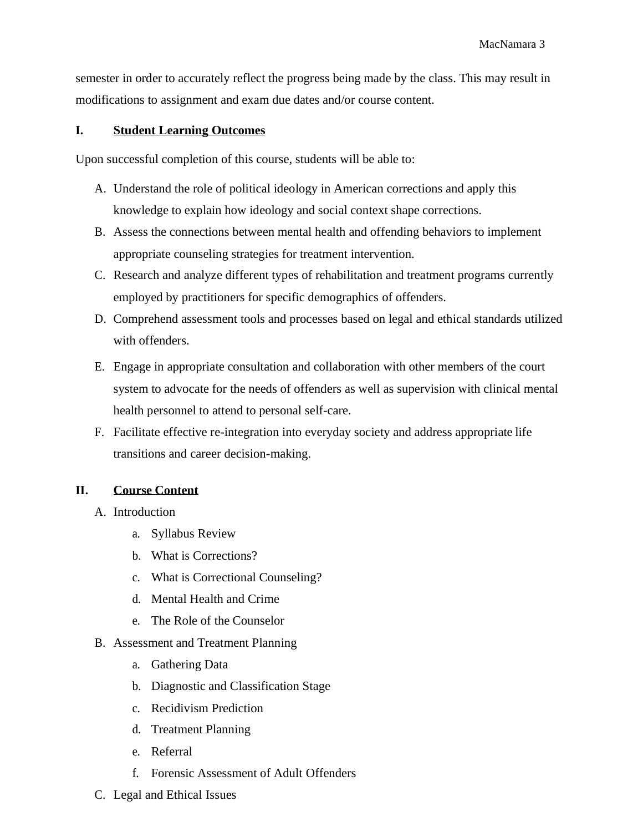semester in order to accurately reflect the progress being made by the class. This may result in modifications to assignment and exam due dates and/or course content.

## **I. Student Learning Outcomes**

Upon successful completion of this course, students will be able to:

- A. Understand the role of political ideology in American corrections and apply this knowledge to explain how ideology and social context shape corrections.
- B. Assess the connections between mental health and offending behaviors to implement appropriate counseling strategies for treatment intervention.
- C. Research and analyze different types of rehabilitation and treatment programs currently employed by practitioners for specific demographics of offenders.
- D. Comprehend assessment tools and processes based on legal and ethical standards utilized with offenders.
- E. Engage in appropriate consultation and collaboration with other members of the court system to advocate for the needs of offenders as well as supervision with clinical mental health personnel to attend to personal self-care.
- F. Facilitate effective re-integration into everyday society and address appropriate life transitions and career decision-making.

# **II. Course Content**

- A. Introduction
	- a. Syllabus Review
	- b. What is Corrections?
	- c. What is Correctional Counseling?
	- d. Mental Health and Crime
	- e. The Role of the Counselor
- B. Assessment and Treatment Planning
	- a. Gathering Data
	- b. Diagnostic and Classification Stage
	- c. Recidivism Prediction
	- d. Treatment Planning
	- e. Referral
	- f. Forensic Assessment of Adult Offenders
- C. Legal and Ethical Issues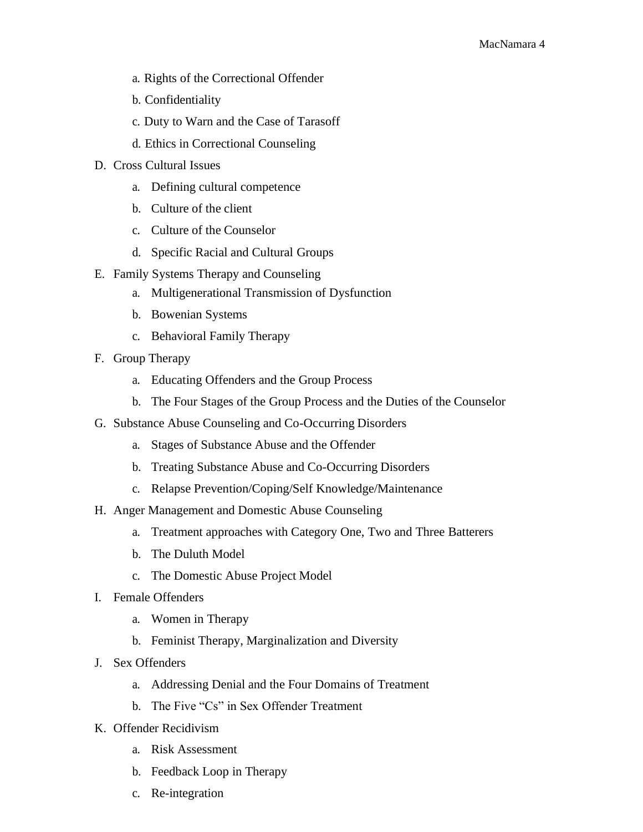- a. Rights of the Correctional Offender
- b. Confidentiality
- c. Duty to Warn and the Case of Tarasoff
- d. Ethics in Correctional Counseling
- D. Cross Cultural Issues
	- a. Defining cultural competence
	- b. Culture of the client
	- c. Culture of the Counselor
	- d. Specific Racial and Cultural Groups
- E. Family Systems Therapy and Counseling
	- a. Multigenerational Transmission of Dysfunction
	- b. Bowenian Systems
	- c. Behavioral Family Therapy
- F. Group Therapy
	- a. Educating Offenders and the Group Process
	- b. The Four Stages of the Group Process and the Duties of the Counselor
- G. Substance Abuse Counseling and Co-Occurring Disorders
	- a. Stages of Substance Abuse and the Offender
	- b. Treating Substance Abuse and Co-Occurring Disorders
	- c. Relapse Prevention/Coping/Self Knowledge/Maintenance
- H. Anger Management and Domestic Abuse Counseling
	- a. Treatment approaches with Category One, Two and Three Batterers
	- b. The Duluth Model
	- c. The Domestic Abuse Project Model
- I. Female Offenders
	- a. Women in Therapy
	- b. Feminist Therapy, Marginalization and Diversity
- J. Sex Offenders
	- a. Addressing Denial and the Four Domains of Treatment
	- b. The Five "Cs" in Sex Offender Treatment
- K. Offender Recidivism
	- a. Risk Assessment
	- b. Feedback Loop in Therapy
	- c. Re-integration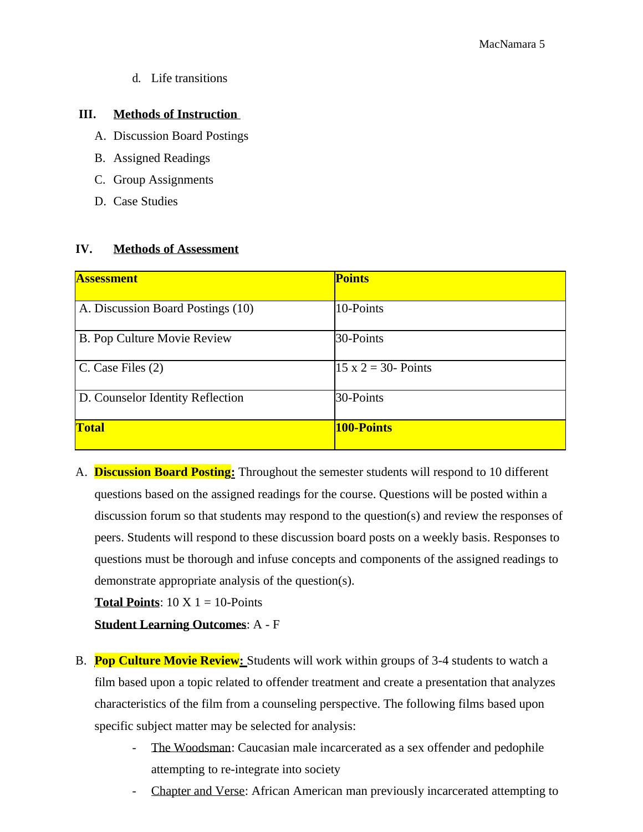d. Life transitions

## **III. Methods of Instruction**

- A. Discussion Board Postings
- B. Assigned Readings
- C. Group Assignments
- D. Case Studies

## **IV. Methods of Assessment**

| <b>Assessment</b>                 | <b>Points</b>               |
|-----------------------------------|-----------------------------|
|                                   |                             |
| A. Discussion Board Postings (10) | 10-Points                   |
|                                   |                             |
| B. Pop Culture Movie Review       | 30-Points                   |
|                                   |                             |
| C. Case Files (2)                 | $15 \times 2 = 30$ - Points |
|                                   |                             |
| D. Counselor Identity Reflection  | 30-Points                   |
|                                   |                             |
| <b>Total</b>                      | <b>100-Points</b>           |
|                                   |                             |

A. **Discussion Board Posting:** Throughout the semester students will respond to 10 different questions based on the assigned readings for the course. Questions will be posted within a discussion forum so that students may respond to the question(s) and review the responses of peers. Students will respond to these discussion board posts on a weekly basis. Responses to questions must be thorough and infuse concepts and components of the assigned readings to demonstrate appropriate analysis of the question(s).

**Total Points**:  $10 \text{ X } 1 = 10$ -Points

**Student Learning Outcomes**: A - F

- B. **Pop Culture Movie Review:** Students will work within groups of 3-4 students to watch a film based upon a topic related to offender treatment and create a presentation that analyzes characteristics of the film from a counseling perspective. The following films based upon specific subject matter may be selected for analysis:
	- The Woodsman: Caucasian male incarcerated as a sex offender and pedophile attempting to re-integrate into society
	- Chapter and Verse: African American man previously incarcerated attempting to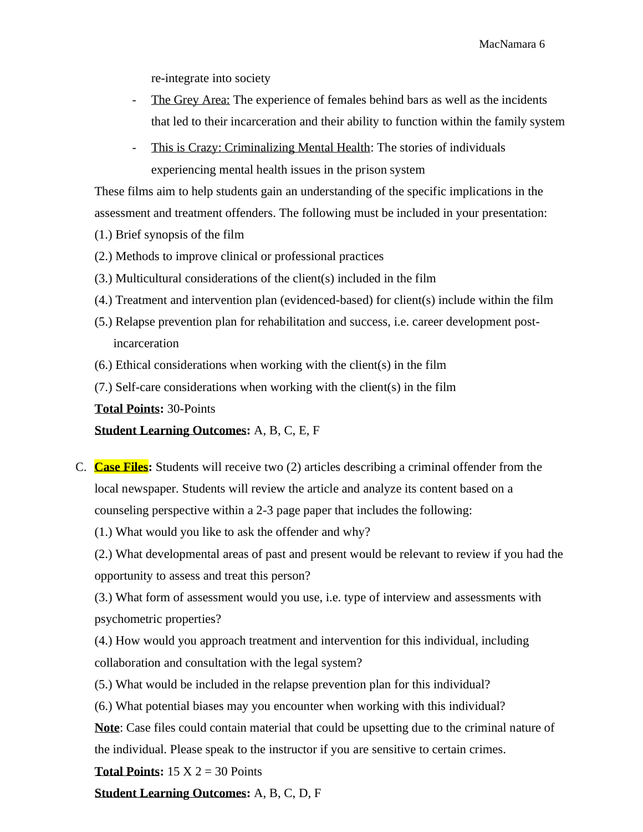re-integrate into society

- The Grey Area: The experience of females behind bars as well as the incidents that led to their incarceration and their ability to function within the family system
- This is Crazy: Criminalizing Mental Health: The stories of individuals experiencing mental health issues in the prison system

These films aim to help students gain an understanding of the specific implications in the assessment and treatment offenders. The following must be included in your presentation:

- (1.) Brief synopsis of the film
- (2.) Methods to improve clinical or professional practices
- (3.) Multicultural considerations of the client(s) included in the film
- (4.) Treatment and intervention plan (evidenced-based) for client(s) include within the film
- (5.) Relapse prevention plan for rehabilitation and success, i.e. career development postincarceration
- (6.) Ethical considerations when working with the client(s) in the film
- (7.) Self-care considerations when working with the client(s) in the film

**Total Points:** 30-Points

**Student Learning Outcomes:** A, B, C, E, F

C. **Case Files:** Students will receive two (2) articles describing a criminal offender from the local newspaper. Students will review the article and analyze its content based on a counseling perspective within a 2-3 page paper that includes the following:

(1.) What would you like to ask the offender and why?

(2.) What developmental areas of past and present would be relevant to review if you had the opportunity to assess and treat this person?

(3.) What form of assessment would you use, i.e. type of interview and assessments with psychometric properties?

(4.) How would you approach treatment and intervention for this individual, including collaboration and consultation with the legal system?

- (5.) What would be included in the relapse prevention plan for this individual?
- (6.) What potential biases may you encounter when working with this individual?

**Note**: Case files could contain material that could be upsetting due to the criminal nature of the individual. Please speak to the instructor if you are sensitive to certain crimes.

**Total Points:**  $15 \text{ X } 2 = 30 \text{ Points}$ 

**Student Learning Outcomes:** A, B, C, D, F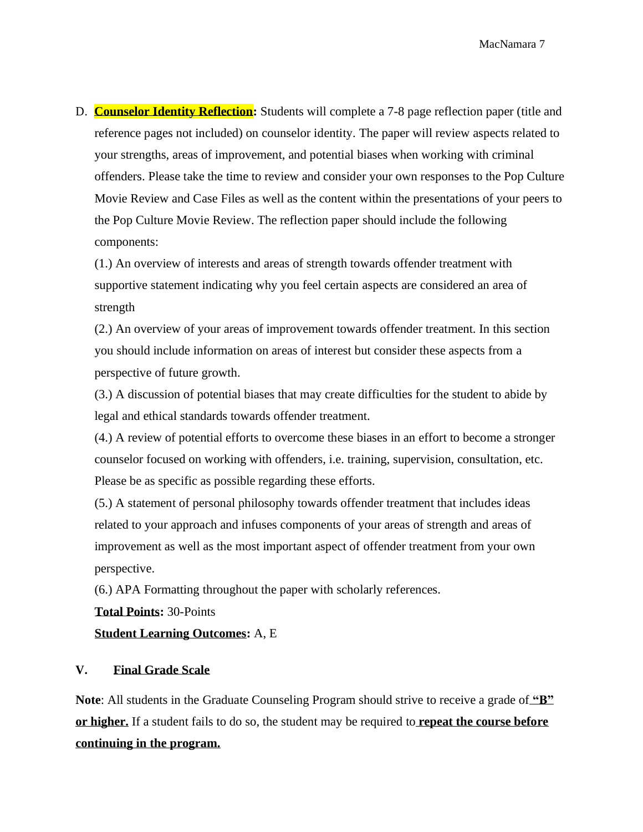D. **Counselor Identity Reflection:** Students will complete a 7-8 page reflection paper (title and reference pages not included) on counselor identity. The paper will review aspects related to your strengths, areas of improvement, and potential biases when working with criminal offenders. Please take the time to review and consider your own responses to the Pop Culture Movie Review and Case Files as well as the content within the presentations of your peers to the Pop Culture Movie Review. The reflection paper should include the following components:

(1.) An overview of interests and areas of strength towards offender treatment with supportive statement indicating why you feel certain aspects are considered an area of strength

(2.) An overview of your areas of improvement towards offender treatment. In this section you should include information on areas of interest but consider these aspects from a perspective of future growth.

(3.) A discussion of potential biases that may create difficulties for the student to abide by legal and ethical standards towards offender treatment.

(4.) A review of potential efforts to overcome these biases in an effort to become a stronger counselor focused on working with offenders, i.e. training, supervision, consultation, etc. Please be as specific as possible regarding these efforts.

(5.) A statement of personal philosophy towards offender treatment that includes ideas related to your approach and infuses components of your areas of strength and areas of improvement as well as the most important aspect of offender treatment from your own perspective.

(6.) APA Formatting throughout the paper with scholarly references.

**Total Points:** 30-Points

**Student Learning Outcomes:** A, E

#### **V. Final Grade Scale**

**Note**: All students in the Graduate Counseling Program should strive to receive a grade of **"B" or higher.** If a student fails to do so, the student may be required to **repeat the course before continuing in the program.**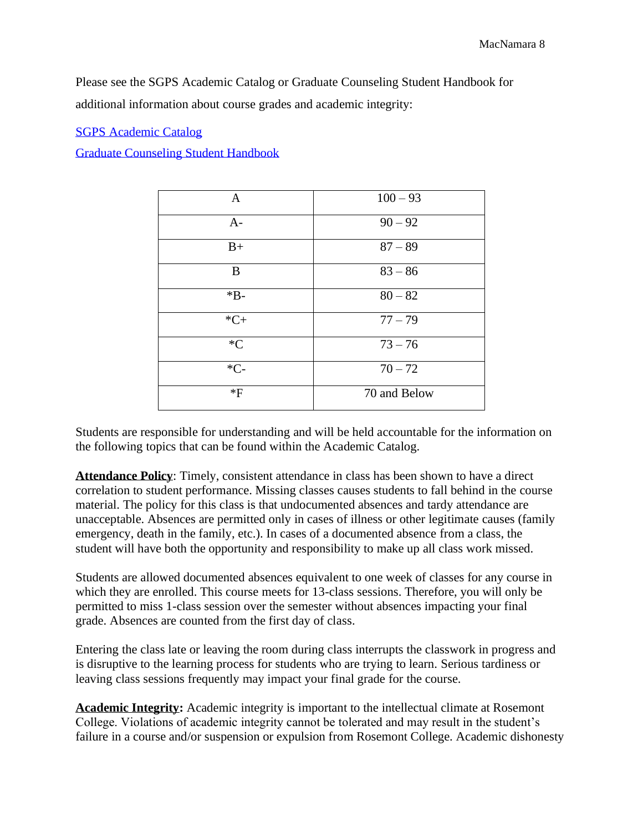Please see the SGPS Academic Catalog or Graduate Counseling Student Handbook for additional information about course grades and academic integrity:

#### SGPS Academic Catalog

Graduate Counseling Student Handbook

| A     | $100 - 93$   |
|-------|--------------|
| $A-$  | $90 - 92$    |
| $B+$  | $87 - 89$    |
| B     | $83 - 86$    |
| $*B-$ | $80 - 82$    |
| $*C+$ | $77 - 79$    |
| $C^*$ | $73 - 76$    |
| $*C-$ | $70 - 72$    |
| *F    | 70 and Below |

Students are responsible for understanding and will be held accountable for the information on the following topics that can be found within the Academic Catalog.

**Attendance Policy**: Timely, consistent attendance in class has been shown to have a direct correlation to student performance. Missing classes causes students to fall behind in the course material. The policy for this class is that undocumented absences and tardy attendance are unacceptable. Absences are permitted only in cases of illness or other legitimate causes (family emergency, death in the family, etc.). In cases of a documented absence from a class, the student will have both the opportunity and responsibility to make up all class work missed.

Students are allowed documented absences equivalent to one week of classes for any course in which they are enrolled. This course meets for 13-class sessions. Therefore, you will only be permitted to miss 1-class session over the semester without absences impacting your final grade. Absences are counted from the first day of class.

Entering the class late or leaving the room during class interrupts the classwork in progress and is disruptive to the learning process for students who are trying to learn. Serious tardiness or leaving class sessions frequently may impact your final grade for the course.

**Academic Integrity:** Academic integrity is important to the intellectual climate at Rosemont College. Violations of academic integrity cannot be tolerated and may result in the student's failure in a course and/or suspension or expulsion from Rosemont College. Academic dishonesty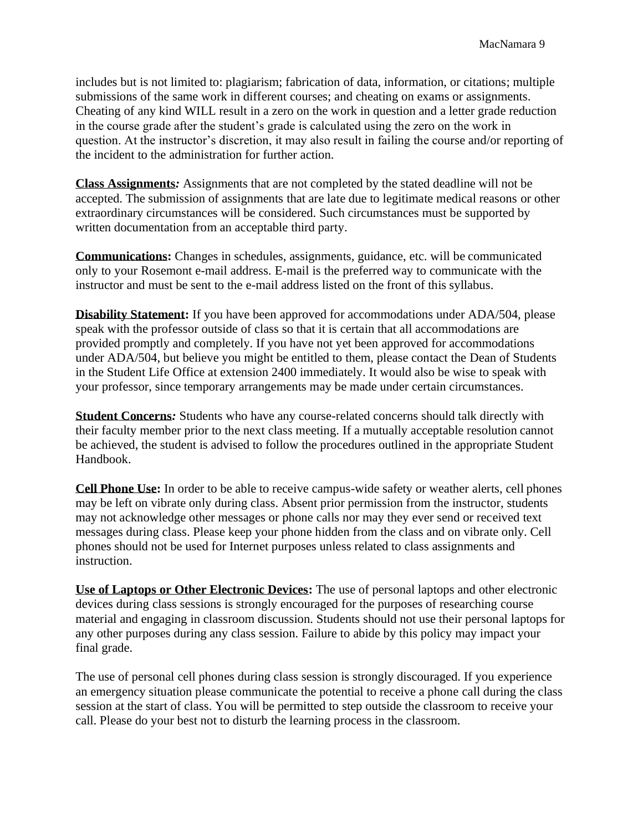includes but is not limited to: plagiarism; fabrication of data, information, or citations; multiple submissions of the same work in different courses; and cheating on exams or assignments. Cheating of any kind WILL result in a zero on the work in question and a letter grade reduction in the course grade after the student's grade is calculated using the zero on the work in question. At the instructor's discretion, it may also result in failing the course and/or reporting of the incident to the administration for further action.

**Class Assignments***:* Assignments that are not completed by the stated deadline will not be accepted. The submission of assignments that are late due to legitimate medical reasons or other extraordinary circumstances will be considered. Such circumstances must be supported by written documentation from an acceptable third party.

**Communications:** Changes in schedules, assignments, guidance, etc. will be communicated only to your Rosemont e-mail address. E-mail is the preferred way to communicate with the instructor and must be sent to the e-mail address listed on the front of this syllabus.

**Disability Statement:** If you have been approved for accommodations under ADA/504, please speak with the professor outside of class so that it is certain that all accommodations are provided promptly and completely. If you have not yet been approved for accommodations under ADA/504, but believe you might be entitled to them, please contact the Dean of Students in the Student Life Office at extension 2400 immediately. It would also be wise to speak with your professor, since temporary arrangements may be made under certain circumstances.

**Student Concerns***:* Students who have any course-related concerns should talk directly with their faculty member prior to the next class meeting. If a mutually acceptable resolution cannot be achieved, the student is advised to follow the procedures outlined in the appropriate Student Handbook.

**Cell Phone Use:** In order to be able to receive campus-wide safety or weather alerts, cell phones may be left on vibrate only during class. Absent prior permission from the instructor, students may not acknowledge other messages or phone calls nor may they ever send or received text messages during class. Please keep your phone hidden from the class and on vibrate only. Cell phones should not be used for Internet purposes unless related to class assignments and instruction.

**Use of Laptops or Other Electronic Devices:** The use of personal laptops and other electronic devices during class sessions is strongly encouraged for the purposes of researching course material and engaging in classroom discussion. Students should not use their personal laptops for any other purposes during any class session. Failure to abide by this policy may impact your final grade.

The use of personal cell phones during class session is strongly discouraged. If you experience an emergency situation please communicate the potential to receive a phone call during the class session at the start of class. You will be permitted to step outside the classroom to receive your call. Please do your best not to disturb the learning process in the classroom.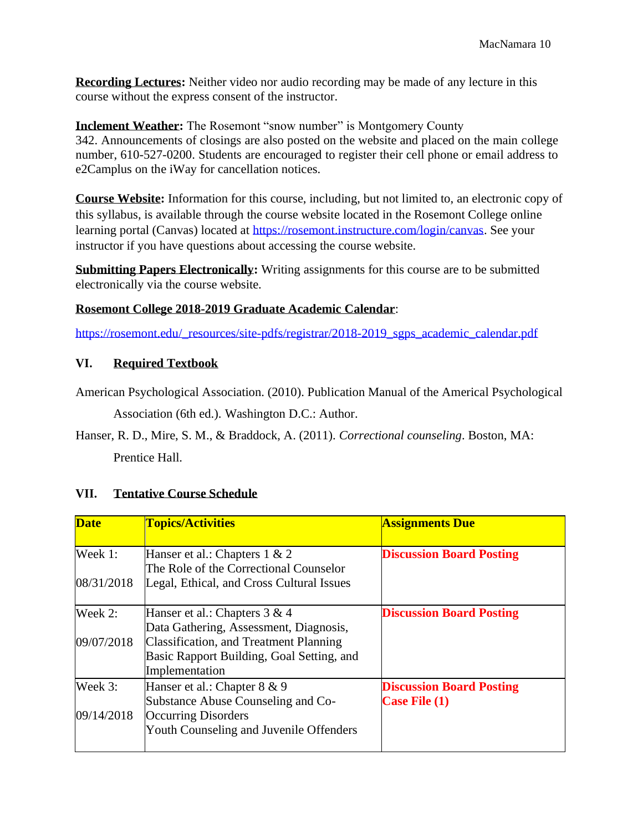**Recording Lectures:** Neither video nor audio recording may be made of any lecture in this course without the express consent of the instructor.

**Inclement Weather:** The Rosemont "snow number" is Montgomery County 342. Announcements of closings are also posted on the website and placed on the main college number, 610-527-0200. Students are encouraged to register their cell phone or email address to e2Camplus on the iWay for cancellation notices.

**Course Website:** Information for this course, including, but not limited to, an electronic copy of this syllabus, is available through the course website located in the Rosemont College online learning portal (Canvas) located at [https://rosemont.instructure.com/login/canvas.](https://rosemont.instructure.com/login/canvas) See your instructor if you have questions about accessing the course website.

**Submitting Papers Electronically:** Writing assignments for this course are to be submitted electronically via the course website.

# **Rosemont College 2018-2019 Graduate Academic Calendar**:

[https://rosemont.edu/\\_resources/site-pdfs/registrar/2018-2019\\_sgps\\_academic\\_calendar.pdf](https://rosemont.edu/_resources/site-pdfs/registrar/2018-2019_sgps_academic_calendar.pdf)

# **VI. Required Textbook**

American Psychological Association. (2010). Publication Manual of the Americal Psychological Association (6th ed.). Washington D.C.: Author.

Hanser, R. D., Mire, S. M., & Braddock, A. (2011). *Correctional counseling*. Boston, MA: Prentice Hall.

# **VII. Tentative Course Schedule**

| <b>Date</b> | <b>Topics/Activities</b>                  | <b>Assignments Due</b>          |
|-------------|-------------------------------------------|---------------------------------|
| Week 1:     | Hanser et al.: Chapters $1 \& 2$          | <b>Discussion Board Posting</b> |
|             | The Role of the Correctional Counselor    |                                 |
| 08/31/2018  | Legal, Ethical, and Cross Cultural Issues |                                 |
| Week 2:     | Hanser et al.: Chapters 3 & 4             | <b>Discussion Board Posting</b> |
|             | Data Gathering, Assessment, Diagnosis,    |                                 |
| 09/07/2018  | Classification, and Treatment Planning    |                                 |
|             | Basic Rapport Building, Goal Setting, and |                                 |
|             | Implementation                            |                                 |
| Week 3:     | Hanser et al.: Chapter 8 & 9              | <b>Discussion Board Posting</b> |
|             | Substance Abuse Counseling and Co-        | Case File (1)                   |
| 09/14/2018  | Occurring Disorders                       |                                 |
|             | Youth Counseling and Juvenile Offenders   |                                 |
|             |                                           |                                 |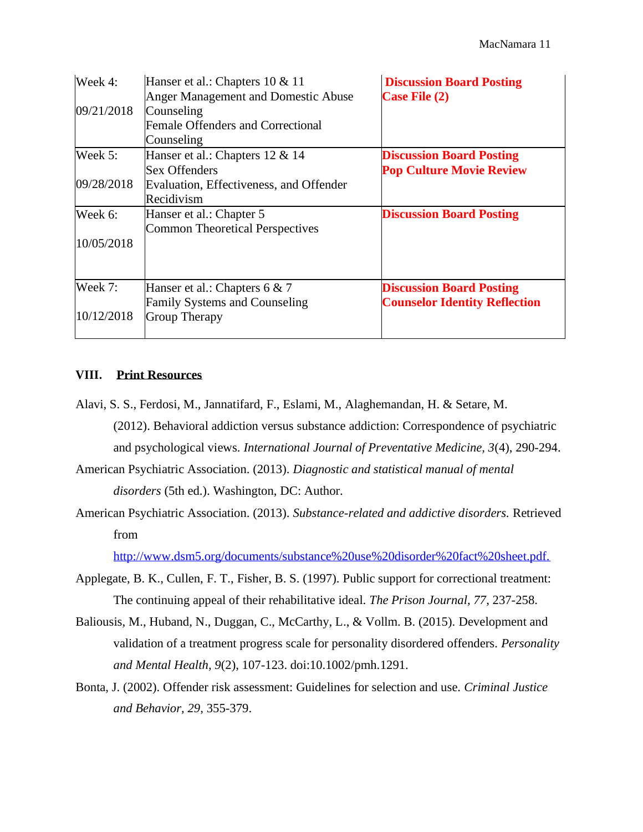| Week 4:    | Hanser et al.: Chapters 10 & 11<br>Anger Management and Domestic Abuse | <b>Discussion Board Posting</b><br><b>Case File (2)</b> |
|------------|------------------------------------------------------------------------|---------------------------------------------------------|
| 09/21/2018 | Counseling                                                             |                                                         |
|            | <b>Female Offenders and Correctional</b><br>Counseling                 |                                                         |
| Week 5:    | Hanser et al.: Chapters 12 & 14                                        | <b>Discussion Board Posting</b>                         |
|            | <b>Sex Offenders</b>                                                   | <b>Pop Culture Movie Review</b>                         |
| 09/28/2018 | Evaluation, Effectiveness, and Offender                                |                                                         |
|            | Recidivism                                                             |                                                         |
| Week 6:    | Hanser et al.: Chapter 5                                               | <b>Discussion Board Posting</b>                         |
|            | <b>Common Theoretical Perspectives</b>                                 |                                                         |
| 10/05/2018 |                                                                        |                                                         |
| Week 7:    | Hanser et al.: Chapters 6 $& 7$                                        | <b>Discussion Board Posting</b>                         |
|            | <b>Family Systems and Counseling</b>                                   | <b>Counselor Identity Reflection</b>                    |
| 10/12/2018 | <b>Group Therapy</b>                                                   |                                                         |

#### **VIII. Print Resources**

Alavi, S. S., Ferdosi, M., Jannatifard, F., Eslami, M., Alaghemandan, H. & Setare, M. (2012). Behavioral addiction versus substance addiction: Correspondence of psychiatric and psychological views. *International Journal of Preventative Medicine, 3*(4), 290-294.

American Psychiatric Association. (2013). *Diagnostic and statistical manual of mental disorders* (5th ed.). Washington, DC: Author.

American Psychiatric Association. (2013). *Substance-related and addictive disorders.* Retrieved from

[http://www.dsm5.org/documents/substance%20use%20disorder%20fact%20sheet.pdf.](http://www.dsm5.org/documents/substance%20use%20disorder%20fact%20sheet.pdf)

- Applegate, B. K., Cullen, F. T., Fisher, B. S. (1997). Public support for correctional treatment: The continuing appeal of their rehabilitative ideal. *The Prison Journal, 77*, 237-258.
- Baliousis, M., Huband, N., Duggan, C., McCarthy, L., & Vollm. B. (2015). Development and validation of a treatment progress scale for personality disordered offenders. *Personality and Mental Health, 9*(2), 107-123. doi:10.1002/pmh.1291.
- Bonta, J. (2002). Offender risk assessment: Guidelines for selection and use. *Criminal Justice and Behavior, 29*, 355-379.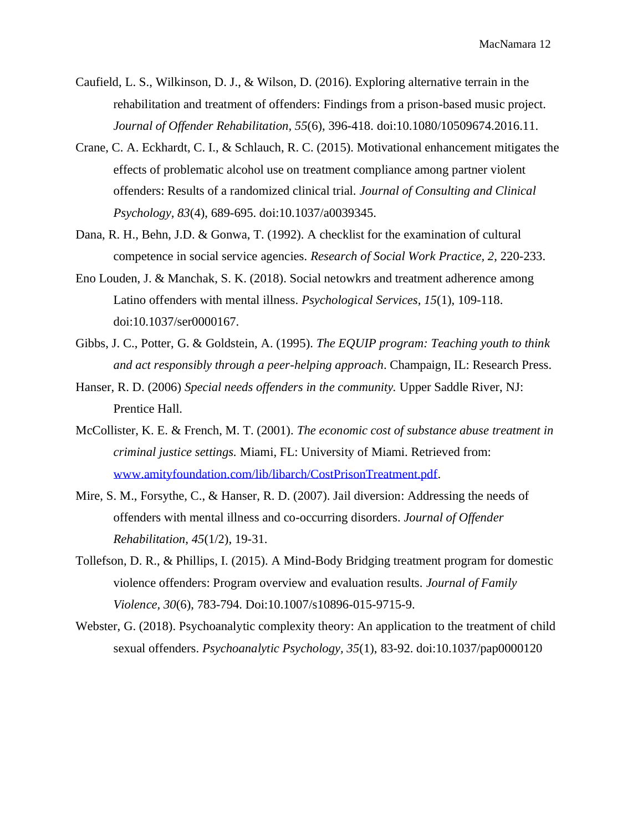- Caufield, L. S., Wilkinson, D. J., & Wilson, D. (2016). Exploring alternative terrain in the rehabilitation and treatment of offenders: Findings from a prison-based music project. *Journal of Offender Rehabilitation, 55*(6), 396-418. doi:10.1080/10509674.2016.11.
- Crane, C. A. Eckhardt, C. I., & Schlauch, R. C. (2015). Motivational enhancement mitigates the effects of problematic alcohol use on treatment compliance among partner violent offenders: Results of a randomized clinical trial. *Journal of Consulting and Clinical Psychology, 83*(4), 689-695. doi:10.1037/a0039345.
- Dana, R. H., Behn, J.D. & Gonwa, T. (1992). A checklist for the examination of cultural competence in social service agencies*. Research of Social Work Practice, 2*, 220-233.
- Eno Louden, J. & Manchak, S. K. (2018). Social netowkrs and treatment adherence among Latino offenders with mental illness. *Psychological Services, 15*(1), 109-118. doi:10.1037/ser0000167.
- Gibbs, J. C., Potter, G. & Goldstein, A. (1995). *The EQUIP program: Teaching youth to think and act responsibly through a peer-helping approach*. Champaign, IL: Research Press.
- Hanser, R. D. (2006) *Special needs offenders in the community.* Upper Saddle River, NJ: Prentice Hall.
- McCollister, K. E. & French, M. T. (2001). *The economic cost of substance abuse treatment in criminal justice settings.* Miami, FL: University of Miami. Retrieved from: [www.amityfoundation.com/lib/libarch/CostPrisonTreatment.pdf.](http://www.amityfoundation.com/lib/libarch/CostPrisonTreatment.pdf)
- Mire, S. M., Forsythe, C., & Hanser, R. D. (2007). Jail diversion: Addressing the needs of offenders with mental illness and co-occurring disorders. *Journal of Offender Rehabilitation*, *45*(1/2), 19-31.
- Tollefson, D. R., & Phillips, I. (2015). A Mind-Body Bridging treatment program for domestic violence offenders: Program overview and evaluation results. *Journal of Family Violence, 30*(6), 783-794. Doi:10.1007/s10896-015-9715-9.
- Webster, G. (2018). Psychoanalytic complexity theory: An application to the treatment of child sexual offenders. *Psychoanalytic Psychology, 35*(1), 83-92. doi:10.1037/pap0000120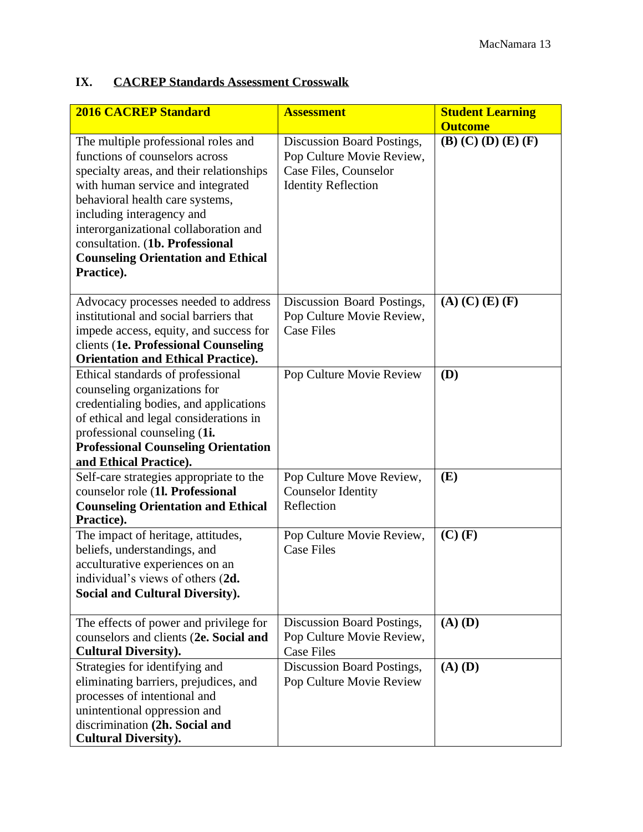# **IX. CACREP Standards Assessment Crosswalk**

| <b>2016 CACREP Standard</b>                                                                                                                                                                                                                                                                                                                                   | <b>Assessment</b>                                                                                              | <b>Student Learning</b>                         |
|---------------------------------------------------------------------------------------------------------------------------------------------------------------------------------------------------------------------------------------------------------------------------------------------------------------------------------------------------------------|----------------------------------------------------------------------------------------------------------------|-------------------------------------------------|
| The multiple professional roles and<br>functions of counselors across<br>specialty areas, and their relationships<br>with human service and integrated<br>behavioral health care systems,<br>including interagency and<br>interorganizational collaboration and<br>consultation. (1b. Professional<br><b>Counseling Orientation and Ethical</b><br>Practice). | Discussion Board Postings,<br>Pop Culture Movie Review,<br>Case Files, Counselor<br><b>Identity Reflection</b> | <b>Outcome</b><br>$(B)$ $(C)$ $(D)$ $(E)$ $(F)$ |
| Advocacy processes needed to address<br>institutional and social barriers that<br>impede access, equity, and success for<br>clients (1e. Professional Counseling<br><b>Orientation and Ethical Practice).</b>                                                                                                                                                 | Discussion Board Postings,<br>Pop Culture Movie Review,<br><b>Case Files</b>                                   | $(A)$ $(C)$ $(E)$ $(F)$                         |
| Ethical standards of professional<br>counseling organizations for<br>credentialing bodies, and applications<br>of ethical and legal considerations in<br>professional counseling (1i.<br><b>Professional Counseling Orientation</b><br>and Ethical Practice).                                                                                                 | Pop Culture Movie Review                                                                                       | (D)                                             |
| Self-care strategies appropriate to the<br>counselor role (1l. Professional<br><b>Counseling Orientation and Ethical</b><br>Practice).                                                                                                                                                                                                                        | Pop Culture Move Review,<br><b>Counselor Identity</b><br>Reflection                                            | (E)                                             |
| The impact of heritage, attitudes,<br>beliefs, understandings, and<br>acculturative experiences on an<br>individual's views of others (2d.<br><b>Social and Cultural Diversity).</b>                                                                                                                                                                          | Pop Culture Movie Review,<br><b>Case Files</b>                                                                 | $(C)$ $(F)$                                     |
| The effects of power and privilege for<br>counselors and clients (2e. Social and<br><b>Cultural Diversity).</b>                                                                                                                                                                                                                                               | Discussion Board Postings,<br>Pop Culture Movie Review,<br><b>Case Files</b>                                   | $(A)$ $(D)$                                     |
| Strategies for identifying and<br>eliminating barriers, prejudices, and<br>processes of intentional and<br>unintentional oppression and<br>discrimination (2h. Social and<br><b>Cultural Diversity).</b>                                                                                                                                                      | Discussion Board Postings,<br>Pop Culture Movie Review                                                         | $(A)$ $(D)$                                     |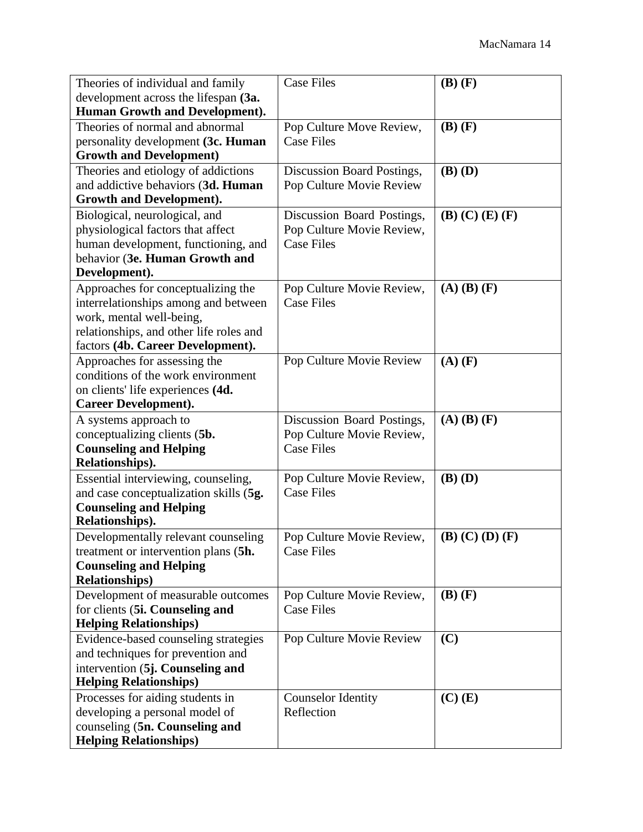| Theories of individual and family                                  | <b>Case Files</b>                       | $(B)$ $(F)$             |
|--------------------------------------------------------------------|-----------------------------------------|-------------------------|
| development across the lifespan (3a.                               |                                         |                         |
| Human Growth and Development).                                     |                                         |                         |
| Theories of normal and abnormal                                    | Pop Culture Move Review,                | $(B)$ $(F)$             |
| personality development (3c. Human                                 | <b>Case Files</b>                       |                         |
| <b>Growth and Development)</b>                                     |                                         |                         |
| Theories and etiology of addictions                                | Discussion Board Postings,              | $(B)$ $(D)$             |
| and addictive behaviors (3d. Human                                 | Pop Culture Movie Review                |                         |
| <b>Growth and Development).</b>                                    |                                         |                         |
| Biological, neurological, and                                      | Discussion Board Postings,              | $(B)$ (C) $(E)$ (F)     |
| physiological factors that affect                                  | Pop Culture Movie Review,               |                         |
| human development, functioning, and                                | <b>Case Files</b>                       |                         |
| behavior (3e. Human Growth and                                     |                                         |                         |
| Development).                                                      |                                         |                         |
| Approaches for conceptualizing the                                 | Pop Culture Movie Review,               | $(A)$ $(B)$ $(F)$       |
| interrelationships among and between                               | <b>Case Files</b>                       |                         |
| work, mental well-being,                                           |                                         |                         |
| relationships, and other life roles and                            |                                         |                         |
| factors (4b. Career Development).                                  | Pop Culture Movie Review                | $(A)$ $(F)$             |
| Approaches for assessing the<br>conditions of the work environment |                                         |                         |
| on clients' life experiences (4d.                                  |                                         |                         |
| <b>Career Development).</b>                                        |                                         |                         |
| A systems approach to                                              | Discussion Board Postings,              | $(A)$ $(B)$ $(F)$       |
| conceptualizing clients (5b.                                       | Pop Culture Movie Review,               |                         |
| <b>Counseling and Helping</b>                                      | <b>Case Files</b>                       |                         |
| Relationships).                                                    |                                         |                         |
| Essential interviewing, counseling,                                | Pop Culture Movie Review,               | $(B)$ $(D)$             |
| and case conceptualization skills (5g.                             | <b>Case Files</b>                       |                         |
| <b>Counseling and Helping</b>                                      |                                         |                         |
| Relationships).                                                    |                                         |                         |
| Developmentally relevant counseling                                | Pop Culture Movie Review,               | $(B)$ $(C)$ $(D)$ $(F)$ |
| treatment or intervention plans (5h.                               | <b>Case Files</b>                       |                         |
| <b>Counseling and Helping</b>                                      |                                         |                         |
| <b>Relationships</b> )                                             |                                         |                         |
| Development of measurable outcomes                                 | Pop Culture Movie Review,               | $(B)$ $(F)$             |
| for clients (5i. Counseling and                                    |                                         |                         |
|                                                                    | <b>Case Files</b>                       |                         |
| <b>Helping Relationships)</b>                                      |                                         |                         |
| Evidence-based counseling strategies                               | Pop Culture Movie Review                | (C)                     |
| and techniques for prevention and                                  |                                         |                         |
| intervention (5j. Counseling and                                   |                                         |                         |
| <b>Helping Relationships)</b>                                      |                                         |                         |
| Processes for aiding students in                                   | <b>Counselor Identity</b><br>Reflection | $(C)$ $(E)$             |
| developing a personal model of<br>counseling (5n. Counseling and   |                                         |                         |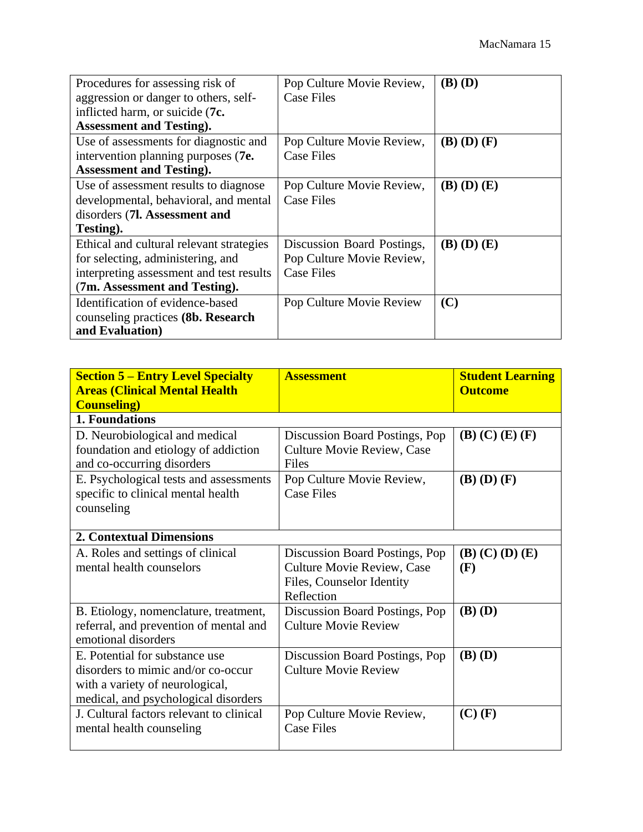| Procedures for assessing risk of                      | Pop Culture Movie Review,  | $(B)$ $(D)$       |
|-------------------------------------------------------|----------------------------|-------------------|
| aggression or danger to others, self-                 | <b>Case Files</b>          |                   |
| inflicted harm, or suicide (7c.                       |                            |                   |
| <b>Assessment and Testing.</b>                        |                            |                   |
| Use of assessments for diagnostic and                 | Pop Culture Movie Review,  | $(B)$ $(D)$ $(F)$ |
| intervention planning purposes (7e.                   | Case Files                 |                   |
| <b>Assessment and Testing).</b>                       |                            |                   |
| Use of assessment results to diagnose                 | Pop Culture Movie Review,  | $(B)$ $(D)$ $(E)$ |
| developmental, behavioral, and mental                 | <b>Case Files</b>          |                   |
| disorders (7l. Assessment and                         |                            |                   |
| Testing).                                             |                            |                   |
| Ethical and cultural relevant strategies              | Discussion Board Postings, | $(B)$ $(D)$ $(E)$ |
| for selecting, administering, and                     | Pop Culture Movie Review,  |                   |
| interpreting assessment and test results              | <b>Case Files</b>          |                   |
| (7m. Assessment and Testing).                         |                            |                   |
| Identification of evidence-based                      | Pop Culture Movie Review   | (C)               |
| counseling practices (8b. Research<br>and Evaluation) |                            |                   |

| <b>Section 5 – Entry Level Specialty</b><br><b>Areas (Clinical Mental Health)</b><br><b>Counseling</b> )                                        | <b>Assessment</b>                                                                                              | <b>Student Learning</b><br><b>Outcome</b> |
|-------------------------------------------------------------------------------------------------------------------------------------------------|----------------------------------------------------------------------------------------------------------------|-------------------------------------------|
| 1. Foundations                                                                                                                                  |                                                                                                                |                                           |
| D. Neurobiological and medical<br>foundation and etiology of addiction<br>and co-occurring disorders                                            | Discussion Board Postings, Pop<br>Culture Movie Review, Case<br>Files                                          | $(B)$ (C) $(E)$ (F)                       |
| E. Psychological tests and assessments<br>specific to clinical mental health<br>counseling                                                      | Pop Culture Movie Review,<br><b>Case Files</b>                                                                 | $(B)$ $(D)$ $(F)$                         |
| <b>2. Contextual Dimensions</b>                                                                                                                 |                                                                                                                |                                           |
| A. Roles and settings of clinical<br>mental health counselors                                                                                   | Discussion Board Postings, Pop<br><b>Culture Movie Review, Case</b><br>Files, Counselor Identity<br>Reflection | $(B)$ $(C)$ $(D)$ $(E)$<br>(F)            |
| B. Etiology, nomenclature, treatment,<br>referral, and prevention of mental and<br>emotional disorders                                          | Discussion Board Postings, Pop<br><b>Culture Movie Review</b>                                                  | $(B)$ $(D)$                               |
| E. Potential for substance use<br>disorders to mimic and/or co-occur<br>with a variety of neurological,<br>medical, and psychological disorders | Discussion Board Postings, Pop<br><b>Culture Movie Review</b>                                                  | $(B)$ $(D)$                               |
| J. Cultural factors relevant to clinical<br>mental health counseling                                                                            | Pop Culture Movie Review,<br><b>Case Files</b>                                                                 | $(C)$ (F)                                 |